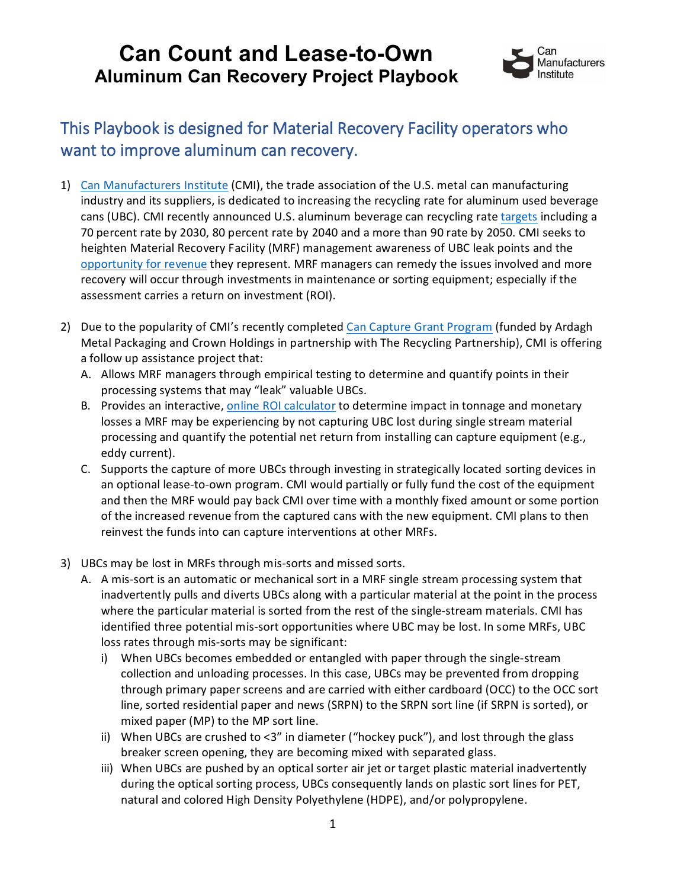

#### This Playbook is designed for Material Recovery Facility operators who want to improve aluminum can recovery.

- 1) [Can Manufacturers Institute](https://www.cancentral.com/) (CMI), the trade association of the U.S. metal can manufacturing industry and its suppliers, is dedicated to increasing the recycling rate for aluminum used beverage cans (UBC). CMI recently announced U.S. aluminum beverage can recycling rat[e targets](https://www.cancentral.com/targets) including a 70 percent rate by 2030, 80 percent rate by 2040 and a more than 90 rate by 2050. CMI seeks to heighten Material Recovery Facility (MRF) management awareness of UBC leak points and the [opportunity for revenue](https://www.cancentral.com/sites/cancentral.com/files/public-documents/GBB%20Report%20Aluminum%20Can%20Drives%20U.S.%20Recycling%20System%20Final%202020-0623.pdf) they represent. MRF managers can remedy the issues involved and more recovery will occur through investments in maintenance or sorting equipment; especially if the assessment carries a return on investment (ROI).
- 2) Due to the popularity of CMI's recently completed Can Capture [Grant Program](https://www.cancentral.com/media/news/texas-recycling-facility-fifth-recipient-aluminum-beverage-can-capture-grant-program) (funded by Ardagh Metal Packaging and Crown Holdings in partnership with The Recycling Partnership), CMI is offering a follow up assistance project that:
	- A. Allows MRF managers through empirical testing to determine and quantify points in their processing systems that may "leak" valuable UBCs.
	- B. Provides an interactive, online ROI [calculator](https://mcusercontent.com/b9ecdf56b9b7d37c9657e2706/files/53d05965-6629-d943-c17c-8fc5b1d18760/CMI_ValueCalculator_DownloadVersion.xlsx) to determine impact in tonnage and monetary losses a MRF may be experiencing by not capturing UBC lost during single stream material processing and quantify the potential net return from installing can capture equipment (e.g., eddy current).
	- C. Supports the capture of more UBCs through investing in strategically located sorting devices in an optional lease-to-own program. CMI would partially or fully fund the cost of the equipment and then the MRF would pay back CMI over time with a monthly fixed amount or some portion of the increased revenue from the captured cans with the new equipment. CMI plans to then reinvest the funds into can capture interventions at other MRFs.
- 3) UBCs may be lost in MRFs through mis-sorts and missed sorts.
	- A. A mis-sort is an automatic or mechanical sort in a MRF single stream processing system that inadvertently pulls and diverts UBCs along with a particular material at the point in the process where the particular material is sorted from the rest of the single-stream materials. CMI has identified three potential mis-sort opportunities where UBC may be lost. In some MRFs, UBC loss rates through mis-sorts may be significant:
		- i) When UBCs becomes embedded or entangled with paper through the single-stream collection and unloading processes. In this case, UBCs may be prevented from dropping through primary paper screens and are carried with either cardboard (OCC) to the OCC sort line, sorted residential paper and news (SRPN) to the SRPN sort line (if SRPN is sorted), or mixed paper (MP) to the MP sort line.
		- ii) When UBCs are crushed to  $\langle 3''$  in diameter ("hockey puck"), and lost through the glass breaker screen opening, they are becoming mixed with separated glass.
		- iii) When UBCs are pushed by an optical sorter air jet or target plastic material inadvertently during the optical sorting process, UBCs consequently lands on plastic sort lines for PET, natural and colored High Density Polyethylene (HDPE), and/or polypropylene.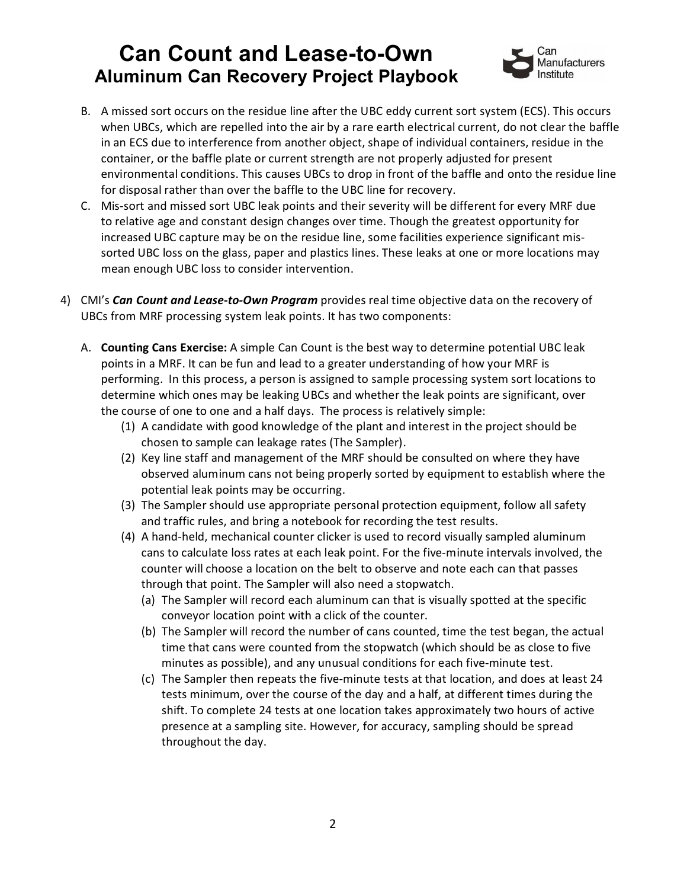

- B. A missed sort occurs on the residue line after the UBC eddy current sort system (ECS). This occurs when UBCs, which are repelled into the air by a rare earth electrical current, do not clear the baffle in an ECS due to interference from another object, shape of individual containers, residue in the container, or the baffle plate or current strength are not properly adjusted for present environmental conditions. This causes UBCs to drop in front of the baffle and onto the residue line for disposal rather than over the baffle to the UBC line for recovery.
- C. Mis-sort and missed sort UBC leak points and their severity will be different for every MRF due to relative age and constant design changes over time. Though the greatest opportunity for increased UBC capture may be on the residue line, some facilities experience significant missorted UBC loss on the glass, paper and plastics lines. These leaks at one or more locations may mean enough UBC loss to consider intervention.
- 4) CMI's *Can Count and Lease-to-Own Program* provides real time objective data on the recovery of UBCs from MRF processing system leak points. It has two components:
	- A. **Counting Cans Exercise:** A simple Can Count is the best way to determine potential UBC leak points in a MRF. It can be fun and lead to a greater understanding of how your MRF is performing. In this process, a person is assigned to sample processing system sort locations to determine which ones may be leaking UBCs and whether the leak points are significant, over the course of one to one and a half days. The process is relatively simple:
		- (1) A candidate with good knowledge of the plant and interest in the project should be chosen to sample can leakage rates (The Sampler).
		- (2) Key line staff and management of the MRF should be consulted on where they have observed aluminum cans not being properly sorted by equipment to establish where the potential leak points may be occurring.
		- (3) The Sampler should use appropriate personal protection equipment, follow all safety and traffic rules, and bring a notebook for recording the test results.
		- (4) A hand-held, mechanical counter clicker is used to record visually sampled aluminum cans to calculate loss rates at each leak point. For the five-minute intervals involved, the counter will choose a location on the belt to observe and note each can that passes through that point. The Sampler will also need a stopwatch.
			- (a) The Sampler will record each aluminum can that is visually spotted at the specific conveyor location point with a click of the counter.
			- (b) The Sampler will record the number of cans counted, time the test began, the actual time that cans were counted from the stopwatch (which should be as close to five minutes as possible), and any unusual conditions for each five-minute test.
			- (c) The Sampler then repeats the five-minute tests at that location, and does at least 24 tests minimum, over the course of the day and a half, at different times during the shift. To complete 24 tests at one location takes approximately two hours of active presence at a sampling site. However, for accuracy, sampling should be spread throughout the day.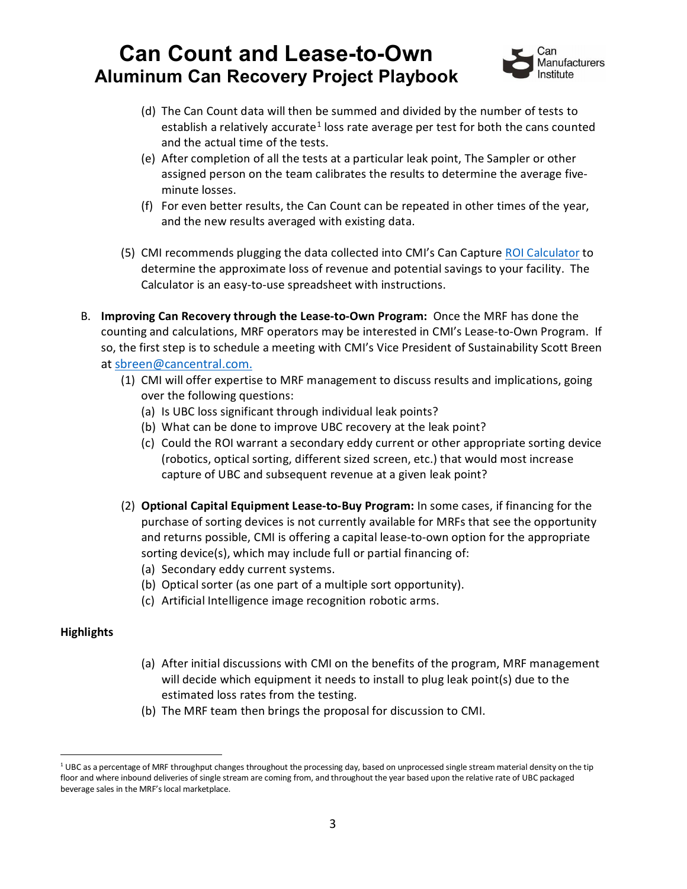

- (d) The Can Count data will then be summed and divided by the number of tests to establish a relatively accurate<sup>[1](#page-2-0)</sup> loss rate average per test for both the cans counted and the actual time of the tests.
- (e) After completion of all the tests at a particular leak point, The Sampler or other assigned person on the team calibrates the results to determine the average fiveminute losses.
- (f) For even better results, the Can Count can be repeated in other times of the year, and the new results averaged with existing data.
- (5) CMI recommends plugging the data collected into CMI's Can Capture ROI [Calculator](https://mcusercontent.com/b9ecdf56b9b7d37c9657e2706/files/53d05965-6629-d943-c17c-8fc5b1d18760/CMI_ValueCalculator_DownloadVersion.xlsx) to determine the approximate loss of revenue and potential savings to your facility. The Calculator is an easy-to-use spreadsheet with instructions.
- B. **Improving Can Recovery through the Lease-to-Own Program:** Once the MRF has done the counting and calculations, MRF operators may be interested in CMI's Lease-to-Own Program. If so, the first step is to schedule a meeting with CMI's Vice President of Sustainability Scott Breen at [sbreen@cancentral.com.](mailto:sbreen@cancentral.com)
	- (1) CMI will offer expertise to MRF management to discuss results and implications, going over the following questions:
		- (a) Is UBC loss significant through individual leak points?
		- (b) What can be done to improve UBC recovery at the leak point?
		- (c) Could the ROI warrant a secondary eddy current or other appropriate sorting device (robotics, optical sorting, different sized screen, etc.) that would most increase capture of UBC and subsequent revenue at a given leak point?
	- (2) **Optional Capital Equipment Lease-to-Buy Program:** In some cases, if financing for the purchase of sorting devices is not currently available for MRFs that see the opportunity and returns possible, CMI is offering a capital lease-to-own option for the appropriate sorting device(s), which may include full or partial financing of:
		- (a) Secondary eddy current systems.
		- (b) Optical sorter (as one part of a multiple sort opportunity).
		- (c) Artificial Intelligence image recognition robotic arms.

#### **Highlights**

- (a) After initial discussions with CMI on the benefits of the program, MRF management will decide which equipment it needs to install to plug leak point(s) due to the estimated loss rates from the testing.
- (b) The MRF team then brings the proposal for discussion to CMI.

<span id="page-2-0"></span> $101$  UBC as a percentage of MRF throughput changes throughout the processing day, based on unprocessed single stream material density on the tip floor and where inbound deliveries of single stream are coming from, and throughout the year based upon the relative rate of UBC packaged beverage sales in the MRF's local marketplace.